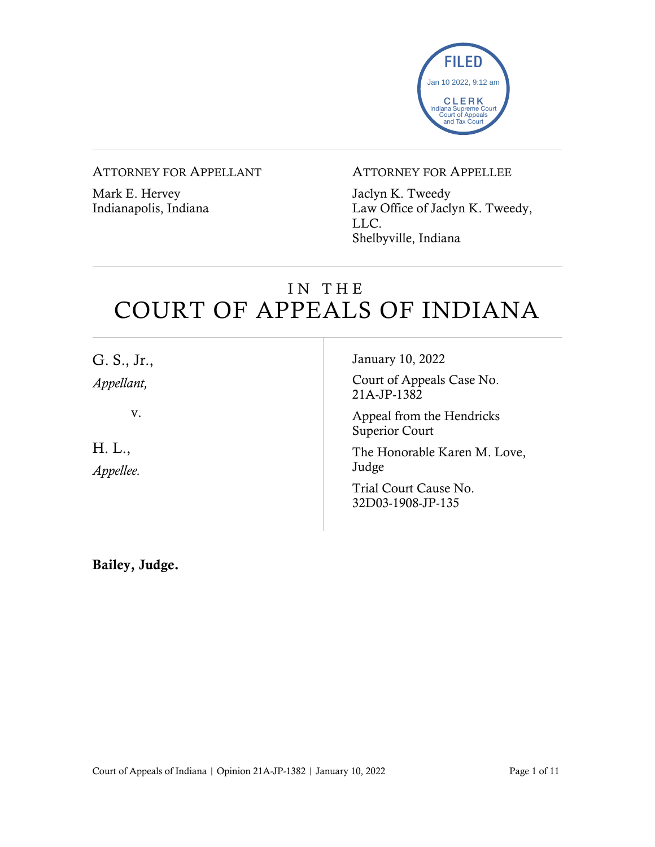

#### ATTORNEY FOR APPELLANT

Mark E. Hervey Indianapolis, Indiana

#### ATTORNEY FOR APPELLEE

Jaclyn K. Tweedy Law Office of Jaclyn K. Tweedy, LLC. Shelbyville, Indiana

### IN THE COURT OF APPEALS OF INDIANA

| G. S., Jr.,         | January 10, 2022                                   |
|---------------------|----------------------------------------------------|
| Appellant,          | Court of Appeals Case No.<br>21A-JP-1382           |
| V.                  | Appeal from the Hendricks<br><b>Superior Court</b> |
| H. L.,<br>Appellee. | The Honorable Karen M. Love,<br>Judge              |
|                     | Trial Court Cause No.<br>32D03-1908-JP-135         |
|                     |                                                    |

Bailey, Judge.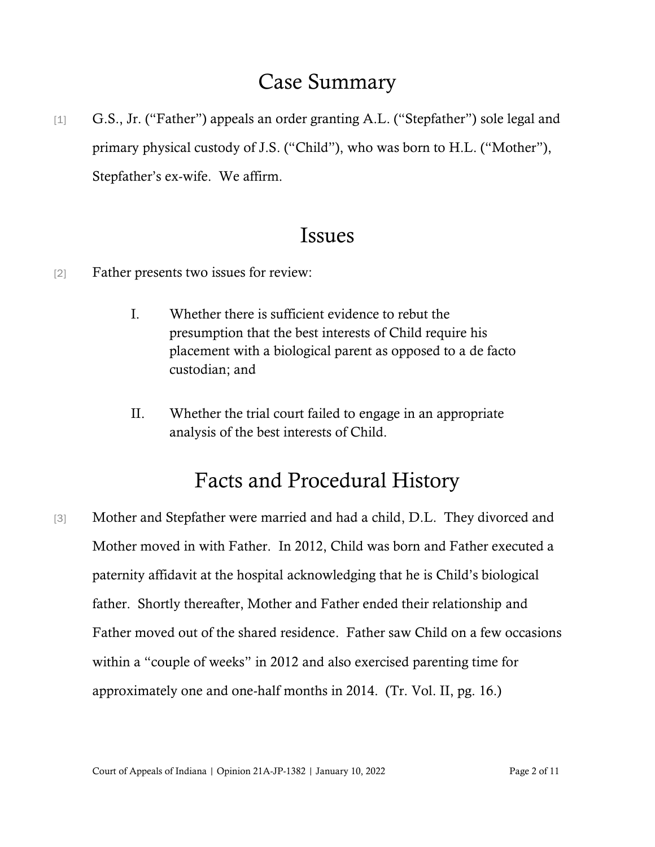### Case Summary

[1] G.S., Jr. ("Father") appeals an order granting A.L. ("Stepfather") sole legal and primary physical custody of J.S. ("Child"), who was born to H.L. ("Mother"), Stepfather's ex-wife. We affirm.

### Issues

- [2] Father presents two issues for review:
	- I. Whether there is sufficient evidence to rebut the presumption that the best interests of Child require his placement with a biological parent as opposed to a de facto custodian; and
	- II. Whether the trial court failed to engage in an appropriate analysis of the best interests of Child.

## Facts and Procedural History

[3] Mother and Stepfather were married and had a child, D.L. They divorced and Mother moved in with Father. In 2012, Child was born and Father executed a paternity affidavit at the hospital acknowledging that he is Child's biological father. Shortly thereafter, Mother and Father ended their relationship and Father moved out of the shared residence. Father saw Child on a few occasions within a "couple of weeks" in 2012 and also exercised parenting time for approximately one and one-half months in 2014. (Tr. Vol. II, pg. 16.)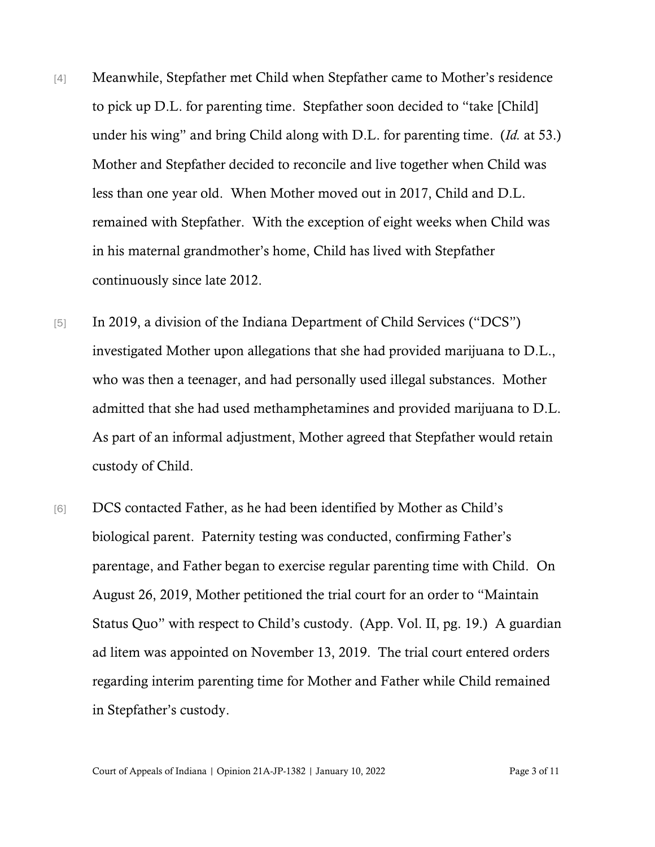- [4] Meanwhile, Stepfather met Child when Stepfather came to Mother's residence to pick up D.L. for parenting time. Stepfather soon decided to "take [Child] under his wing" and bring Child along with D.L. for parenting time. (*Id.* at 53.) Mother and Stepfather decided to reconcile and live together when Child was less than one year old. When Mother moved out in 2017, Child and D.L. remained with Stepfather. With the exception of eight weeks when Child was in his maternal grandmother's home, Child has lived with Stepfather continuously since late 2012.
- [5] In 2019, a division of the Indiana Department of Child Services ("DCS") investigated Mother upon allegations that she had provided marijuana to D.L., who was then a teenager, and had personally used illegal substances. Mother admitted that she had used methamphetamines and provided marijuana to D.L. As part of an informal adjustment, Mother agreed that Stepfather would retain custody of Child.
- [6] DCS contacted Father, as he had been identified by Mother as Child's biological parent. Paternity testing was conducted, confirming Father's parentage, and Father began to exercise regular parenting time with Child. On August 26, 2019, Mother petitioned the trial court for an order to "Maintain Status Quo" with respect to Child's custody. (App. Vol. II, pg. 19.) A guardian ad litem was appointed on November 13, 2019. The trial court entered orders regarding interim parenting time for Mother and Father while Child remained in Stepfather's custody.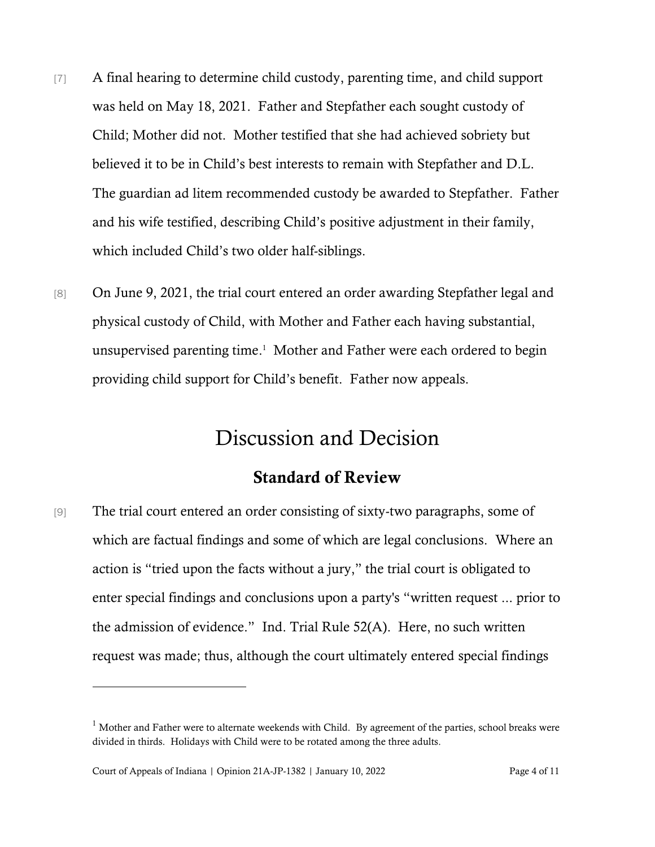- [7] A final hearing to determine child custody, parenting time, and child support was held on May 18, 2021. Father and Stepfather each sought custody of Child; Mother did not. Mother testified that she had achieved sobriety but believed it to be in Child's best interests to remain with Stepfather and D.L. The guardian ad litem recommended custody be awarded to Stepfather. Father and his wife testified, describing Child's positive adjustment in their family, which included Child's two older half-siblings.
- [8] On June 9, 2021, the trial court entered an order awarding Stepfather legal and physical custody of Child, with Mother and Father each having substantial, unsupervised parenting time. 1 Mother and Father were each ordered to begin providing child support for Child's benefit. Father now appeals.

## Discussion and Decision

#### Standard of Review

[9] The trial court entered an order consisting of sixty-two paragraphs, some of which are factual findings and some of which are legal conclusions. Where an action is "tried upon the facts without a jury," the trial court is obligated to enter special findings and conclusions upon a party's "written request ... prior to the admission of evidence." Ind. Trial Rule 52(A). Here, no such written request was made; thus, although the court ultimately entered special findings

 $1$  Mother and Father were to alternate weekends with Child. By agreement of the parties, school breaks were divided in thirds. Holidays with Child were to be rotated among the three adults.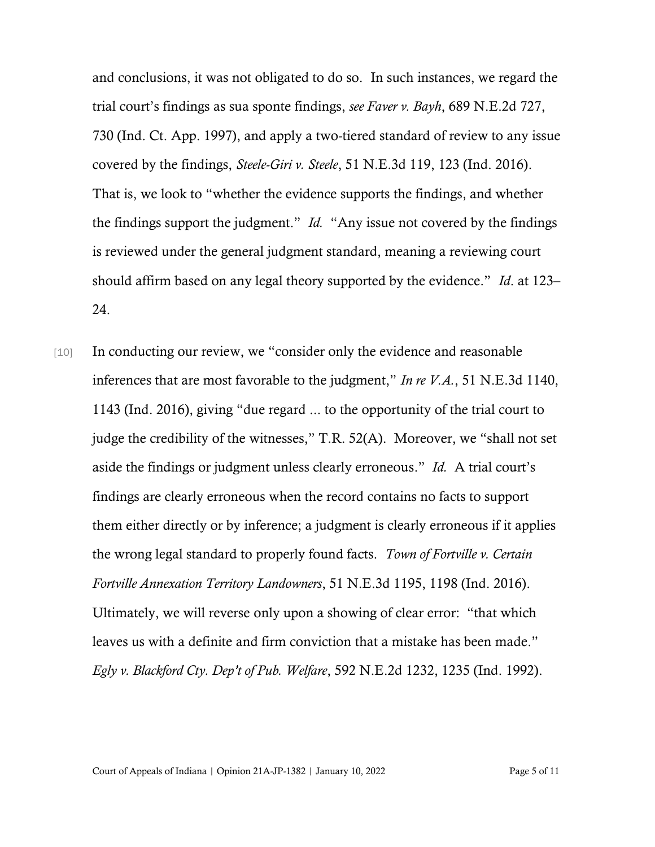and conclusions, it was not obligated to do so. In such instances, we regard the trial court's findings as sua sponte findings, *see Faver v. Bayh*, 689 N.E.2d 727, 730 (Ind. Ct. App. 1997), and apply a two-tiered standard of review to any issue covered by the findings, *Steele-Giri v. Steele*, 51 N.E.3d 119, 123 (Ind. 2016). That is, we look to "whether the evidence supports the findings, and whether the findings support the judgment." *Id.* "Any issue not covered by the findings is reviewed under the general judgment standard, meaning a reviewing court should affirm based on any legal theory supported by the evidence." *Id*. at 123– 24.

[10] In conducting our review, we "consider only the evidence and reasonable inferences that are most favorable to the judgment," *In re V.A.*, 51 N.E.3d 1140, 1143 (Ind. 2016), giving "due regard ... to the opportunity of the trial court to judge the credibility of the witnesses," T.R. 52(A). Moreover, we "shall not set aside the findings or judgment unless clearly erroneous." *Id.* A trial court's findings are clearly erroneous when the record contains no facts to support them either directly or by inference; a judgment is clearly erroneous if it applies the wrong legal standard to properly found facts. *Town of Fortville v. Certain Fortville Annexation Territory Landowners*, 51 N.E.3d 1195, 1198 (Ind. 2016). Ultimately, we will reverse only upon a showing of clear error: "that which leaves us with a definite and firm conviction that a mistake has been made." *Egly v. Blackford Cty. Dep't of Pub. Welfare*, 592 N.E.2d 1232, 1235 (Ind. 1992).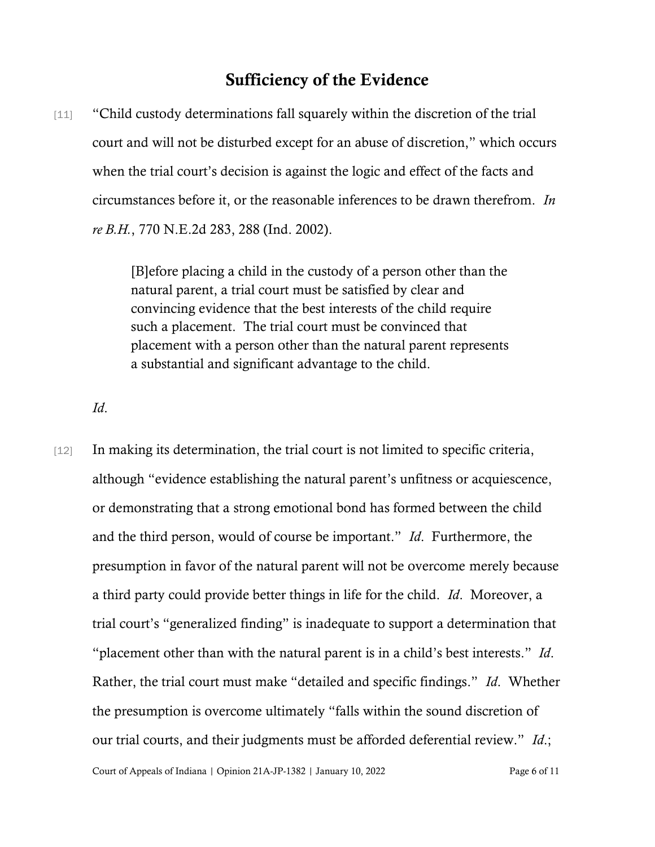#### Sufficiency of the Evidence

[11] "Child custody determinations fall squarely within the discretion of the trial court and will not be disturbed except for an abuse of discretion," which occurs when the trial court's decision is against the logic and effect of the facts and circumstances before it, or the reasonable inferences to be drawn therefrom. *In re B.H.*, 770 N.E.2d 283, 288 (Ind. 2002).

> [B]efore placing a child in the custody of a person other than the natural parent, a trial court must be satisfied by clear and convincing evidence that the best interests of the child require such a placement. The trial court must be convinced that placement with a person other than the natural parent represents a substantial and significant advantage to the child.

*Id*.

[12] In making its determination, the trial court is not limited to specific criteria, although "evidence establishing the natural parent's unfitness or acquiescence, or demonstrating that a strong emotional bond has formed between the child and the third person, would of course be important." *Id*. Furthermore, the presumption in favor of the natural parent will not be overcome merely because a third party could provide better things in life for the child. *Id*. Moreover, a trial court's "generalized finding" is inadequate to support a determination that "placement other than with the natural parent is in a child's best interests." *Id*. Rather, the trial court must make "detailed and specific findings." *Id*. Whether the presumption is overcome ultimately "falls within the sound discretion of our trial courts, and their judgments must be afforded deferential review." *Id*.;

Court of Appeals of Indiana | Opinion 21A-JP-1382 | January 10, 2022 Page 6 of 11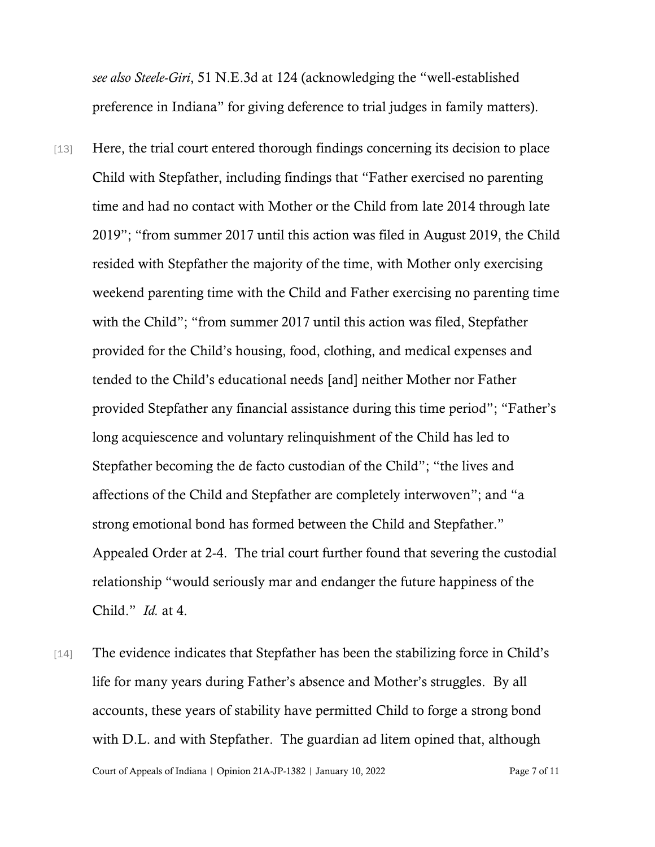*see also Steele-Giri*, 51 N.E.3d at 124 (acknowledging the "well-established preference in Indiana" for giving deference to trial judges in family matters).

- [13] Here, the trial court entered thorough findings concerning its decision to place Child with Stepfather, including findings that "Father exercised no parenting time and had no contact with Mother or the Child from late 2014 through late 2019"; "from summer 2017 until this action was filed in August 2019, the Child resided with Stepfather the majority of the time, with Mother only exercising weekend parenting time with the Child and Father exercising no parenting time with the Child"; "from summer 2017 until this action was filed, Stepfather provided for the Child's housing, food, clothing, and medical expenses and tended to the Child's educational needs [and] neither Mother nor Father provided Stepfather any financial assistance during this time period"; "Father's long acquiescence and voluntary relinquishment of the Child has led to Stepfather becoming the de facto custodian of the Child"; "the lives and affections of the Child and Stepfather are completely interwoven"; and "a strong emotional bond has formed between the Child and Stepfather." Appealed Order at 2-4. The trial court further found that severing the custodial relationship "would seriously mar and endanger the future happiness of the Child." *Id.* at 4.
- [14] The evidence indicates that Stepfather has been the stabilizing force in Child's life for many years during Father's absence and Mother's struggles. By all accounts, these years of stability have permitted Child to forge a strong bond with D.L. and with Stepfather. The guardian ad litem opined that, although

Court of Appeals of Indiana | Opinion 21A-JP-1382 | January 10, 2022 Page 7 of 11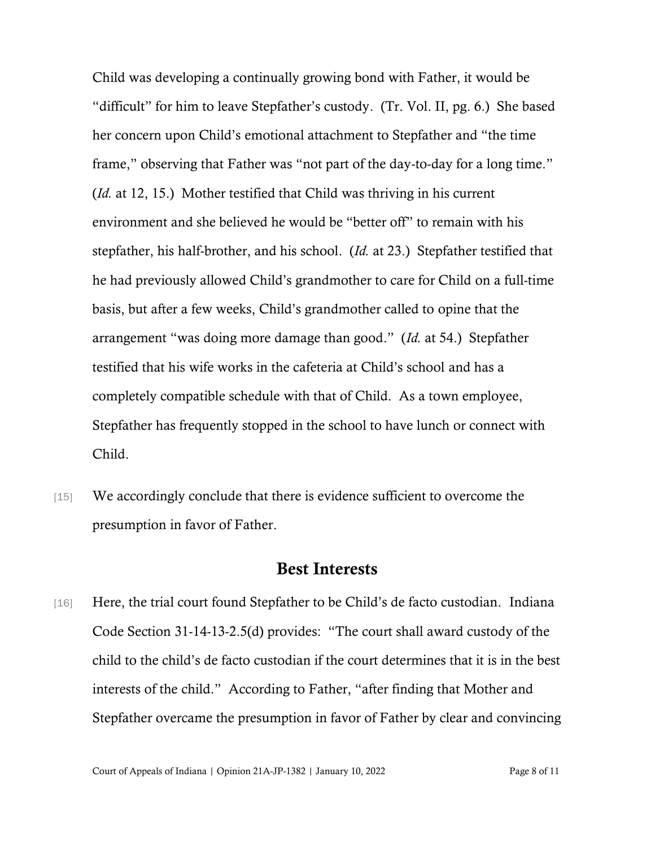Child was developing a continually growing bond with Father, it would be "difficult" for him to leave Stepfather's custody. (Tr. Vol. II, pg. 6.) She based her concern upon Child's emotional attachment to Stepfather and "the time frame," observing that Father was "not part of the day-to-day for a long time." (*Id.* at 12, 15.) Mother testified that Child was thriving in his current environment and she believed he would be "better off" to remain with his stepfather, his half-brother, and his school. (*Id.* at 23.) Stepfather testified that he had previously allowed Child's grandmother to care for Child on a full-time basis, but after a few weeks, Child's grandmother called to opine that the arrangement "was doing more damage than good." (*Id.* at 54.) Stepfather testified that his wife works in the cafeteria at Child's school and has a completely compatible schedule with that of Child. As a town employee, Stepfather has frequently stopped in the school to have lunch or connect with Child.

[15] We accordingly conclude that there is evidence sufficient to overcome the presumption in favor of Father.

#### Best Interests

[16] Here, the trial court found Stepfather to be Child's de facto custodian. Indiana Code Section 31-14-13-2.5(d) provides: "The court shall award custody of the child to the child's de facto custodian if the court determines that it is in the best interests of the child." According to Father, "after finding that Mother and Stepfather overcame the presumption in favor of Father by clear and convincing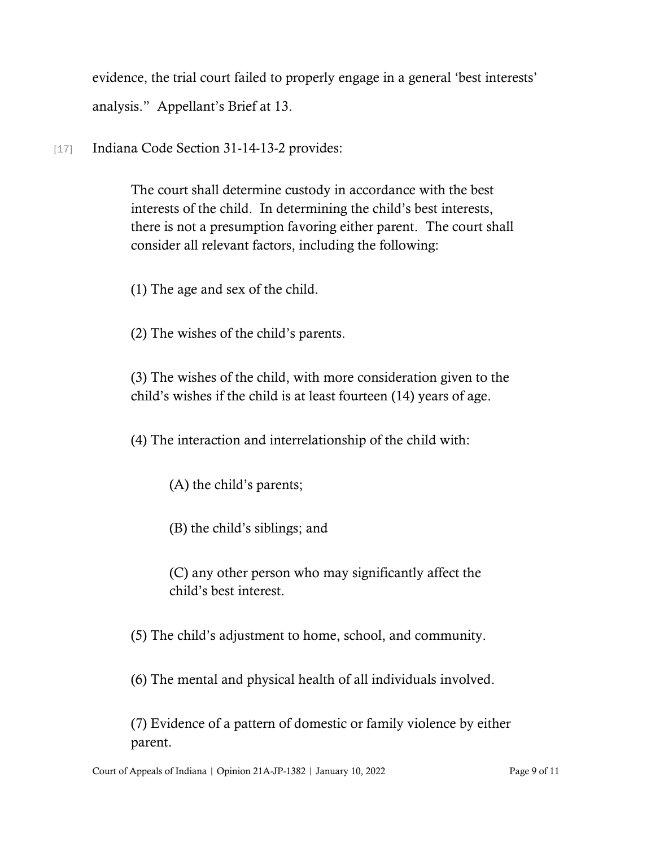evidence, the trial court failed to properly engage in a general 'best interests' analysis." Appellant's Brief at 13.

[17] Indiana Code Section 31-14-13-2 provides:

The court shall determine custody in accordance with the best interests of the child. In determining the child's best interests, there is not a presumption favoring either parent. The court shall consider all relevant factors, including the following:

(1) The age and sex of the child.

(2) The wishes of the child's parents.

(3) The wishes of the child, with more consideration given to the child's wishes if the child is at least fourteen (14) years of age.

(4) The interaction and interrelationship of the child with:

(A) the child's parents;

(B) the child's siblings; and

(C) any other person who may significantly affect the child's best interest.

(5) The child's adjustment to home, school, and community.

(6) The mental and physical health of all individuals involved.

(7) Evidence of a pattern of domestic or family violence by either parent.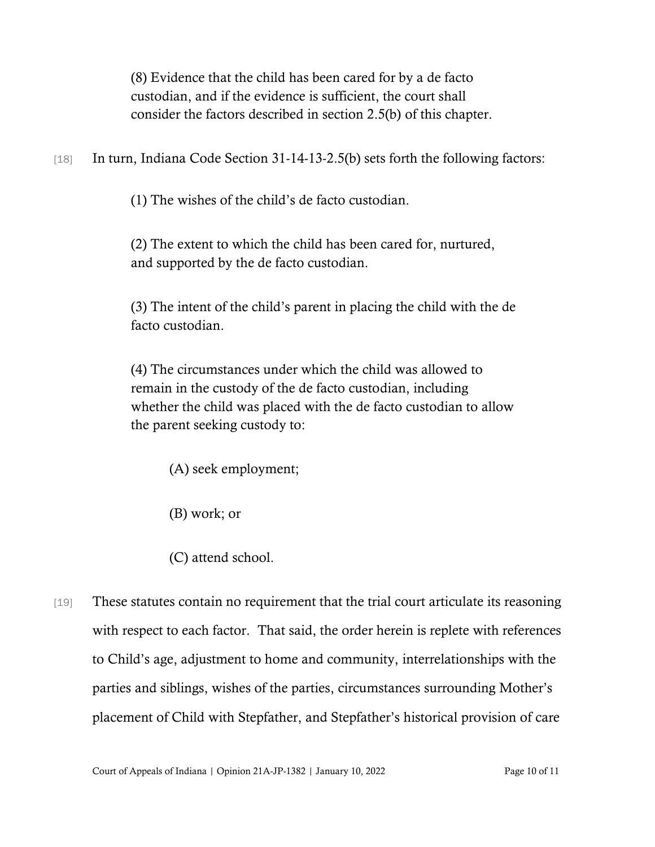(8) Evidence that the child has been cared for by a de facto custodian, and if the evidence is sufficient, the court shall consider the factors described in section 2.5(b) of this chapter.

[18] In turn, Indiana Code Section 31-14-13-2.5(b) sets forth the following factors:

(1) The wishes of the child's de facto custodian.

(2) The extent to which the child has been cared for, nurtured, and supported by the de facto custodian.

(3) The intent of the child's parent in placing the child with the de facto custodian.

(4) The circumstances under which the child was allowed to remain in the custody of the de facto custodian, including whether the child was placed with the de facto custodian to allow the parent seeking custody to:

(A) seek employment;

(B) work; or

(C) attend school.

[19] These statutes contain no requirement that the trial court articulate its reasoning with respect to each factor. That said, the order herein is replete with references to Child's age, adjustment to home and community, interrelationships with the parties and siblings, wishes of the parties, circumstances surrounding Mother's placement of Child with Stepfather, and Stepfather's historical provision of care